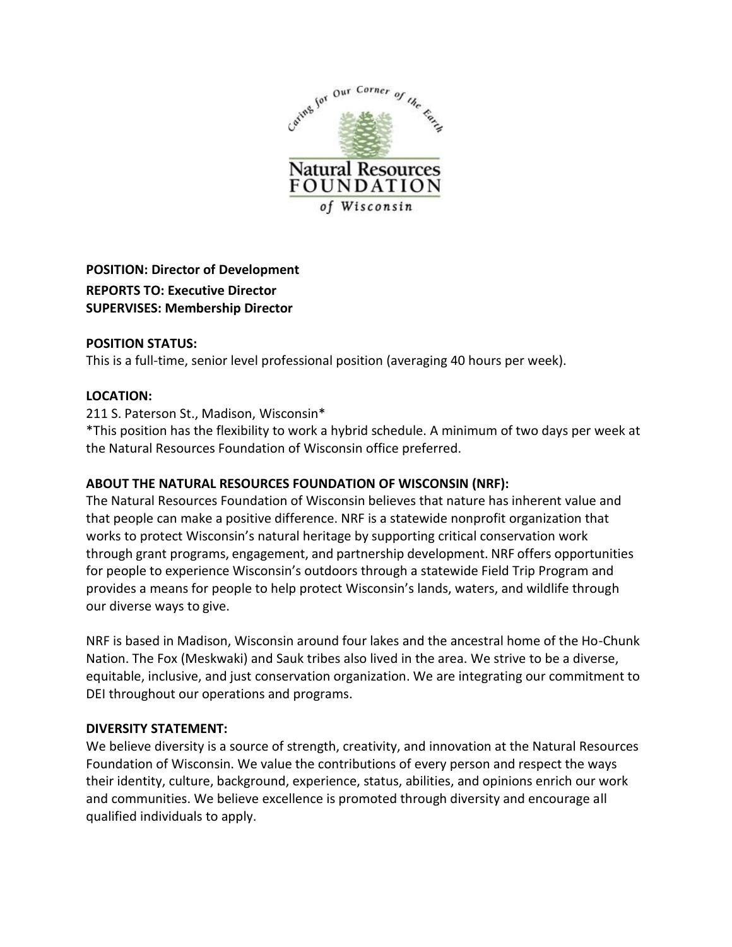

# **POSITION: Director of Development REPORTS TO: Executive Director SUPERVISES: Membership Director**

## **POSITION STATUS:**

This is a full-time, senior level professional position (averaging 40 hours per week).

## **LOCATION:**

## 211 S. Paterson St., Madison, Wisconsin\*

\*This position has the flexibility to work a hybrid schedule. A minimum of two days per week at the Natural Resources Foundation of Wisconsin office preferred.

# **ABOUT THE NATURAL RESOURCES FOUNDATION OF WISCONSIN (NRF):**

The Natural Resources Foundation of Wisconsin believes that nature has inherent value and that people can make a positive difference. NRF is a statewide nonprofit organization that works to protect Wisconsin's natural heritage by supporting critical conservation work through grant programs, engagement, and partnership development. NRF offers opportunities for people to experience Wisconsin's outdoors through a statewide Field Trip Program and provides a means for people to help protect Wisconsin's lands, waters, and wildlife through our diverse ways to give.

NRF is based in Madison, Wisconsin around four lakes and the ancestral home of the Ho-Chunk Nation. The Fox (Meskwaki) and Sauk tribes also lived in the area. We strive to be a diverse, equitable, inclusive, and just conservation organization. We are integrating our commitment to DEI throughout our operations and programs.

### **DIVERSITY STATEMENT:**

We believe diversity is a source of strength, creativity, and innovation at the Natural Resources Foundation of Wisconsin. We value the contributions of every person and respect the ways their identity, culture, background, experience, status, abilities, and opinions enrich our work and communities. We believe excellence is promoted through diversity and encourage all qualified individuals to apply.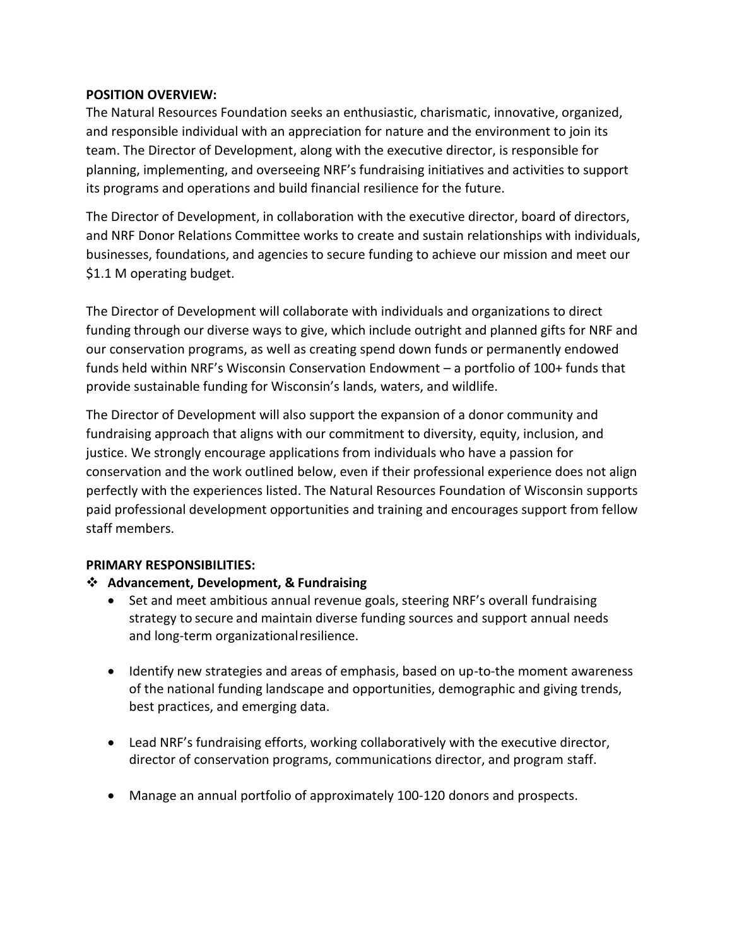## **POSITION OVERVIEW:**

The Natural Resources Foundation seeks an enthusiastic, charismatic, innovative, organized, and responsible individual with an appreciation for nature and the environment to join its team. The Director of Development, along with the executive director, is responsible for planning, implementing, and overseeing NRF's fundraising initiatives and activities to support its programs and operations and build financial resilience for the future.

The Director of Development, in collaboration with the executive director, board of directors, and NRF Donor Relations Committee works to create and sustain relationships with individuals, businesses, foundations, and agencies to secure funding to achieve our mission and meet our \$1.1 M operating budget.

The Director of Development will collaborate with individuals and organizations to direct funding through our diverse ways to give, which include outright and planned gifts for NRF and our conservation programs, as well as creating spend down funds or permanently endowed funds held within NRF's Wisconsin Conservation Endowment – a portfolio of 100+ funds that provide sustainable funding for Wisconsin's lands, waters, and wildlife.

The Director of Development will also support the expansion of a donor community and fundraising approach that aligns with our commitment to diversity, equity, inclusion, and justice. We strongly encourage applications from individuals who have a passion for conservation and the work outlined below, even if their professional experience does not align perfectly with the experiences listed. The Natural Resources Foundation of Wisconsin supports paid professional development opportunities and training and encourages support from fellow staff members.

# **PRIMARY RESPONSIBILITIES:**

### ❖ **Advancement, Development, & Fundraising**

- Set and meet ambitious annual revenue goals, steering NRF's overall fundraising strategy to secure and maintain diverse funding sources and support annual needs and long-term organizationalresilience.
- Identify new strategies and areas of emphasis, based on up-to-the moment awareness of the national funding landscape and opportunities, demographic and giving trends, best practices, and emerging data.
- Lead NRF's fundraising efforts, working collaboratively with the executive director, director of conservation programs, communications director, and program staff.
- Manage an annual portfolio of approximately 100-120 donors and prospects.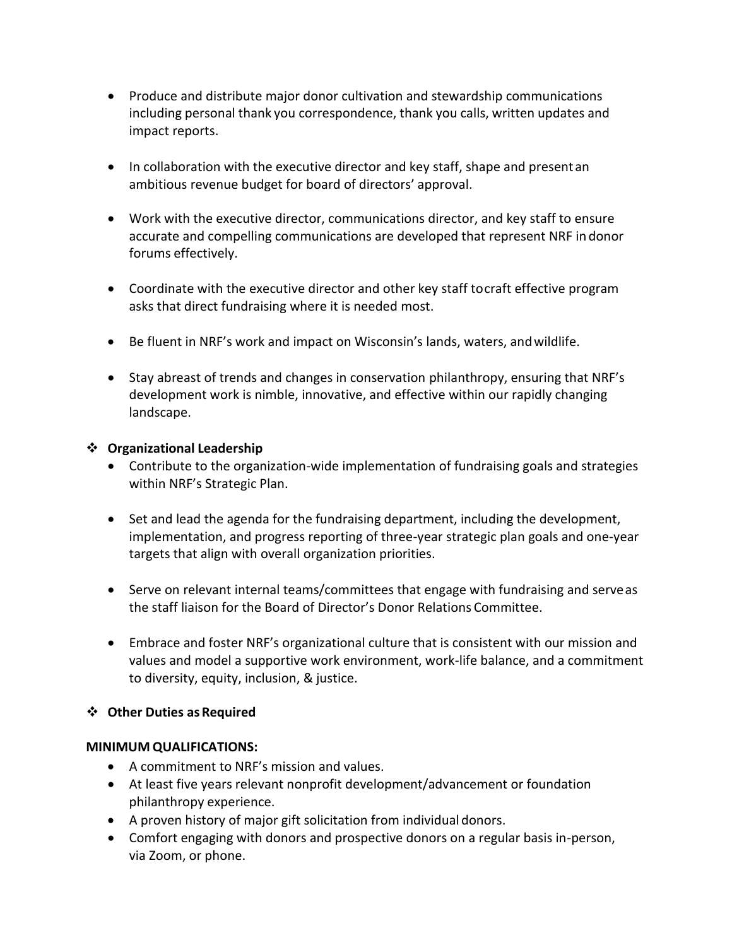- Produce and distribute major donor cultivation and stewardship communications including personal thank you correspondence, thank you calls, written updates and impact reports.
- In collaboration with the executive director and key staff, shape and presentan ambitious revenue budget for board of directors' approval.
- Work with the executive director, communications director, and key staff to ensure accurate and compelling communications are developed that represent NRF in donor forums effectively.
- Coordinate with the executive director and other key staff tocraft effective program asks that direct fundraising where it is needed most.
- Be fluent in NRF's work and impact on Wisconsin's lands, waters, andwildlife.
- Stay abreast of trends and changes in conservation philanthropy, ensuring that NRF's development work is nimble, innovative, and effective within our rapidly changing landscape.

# ❖ **Organizational Leadership**

- Contribute to the organization-wide implementation of fundraising goals and strategies within NRF's Strategic Plan.
- Set and lead the agenda for the fundraising department, including the development, implementation, and progress reporting of three-year strategic plan goals and one-year targets that align with overall organization priorities.
- Serve on relevant internal teams/committees that engage with fundraising and serveas the staff liaison for the Board of Director's Donor Relations Committee.
- Embrace and foster NRF's organizational culture that is consistent with our mission and values and model a supportive work environment, work-life balance, and a commitment to diversity, equity, inclusion, & justice.

# ❖ **Other Duties as Required**

# **MINIMUM QUALIFICATIONS:**

- A commitment to NRF's mission and values.
- At least five years relevant nonprofit development/advancement or foundation philanthropy experience.
- A proven history of major gift solicitation from individual donors.
- Comfort engaging with donors and prospective donors on a regular basis in-person, via Zoom, or phone.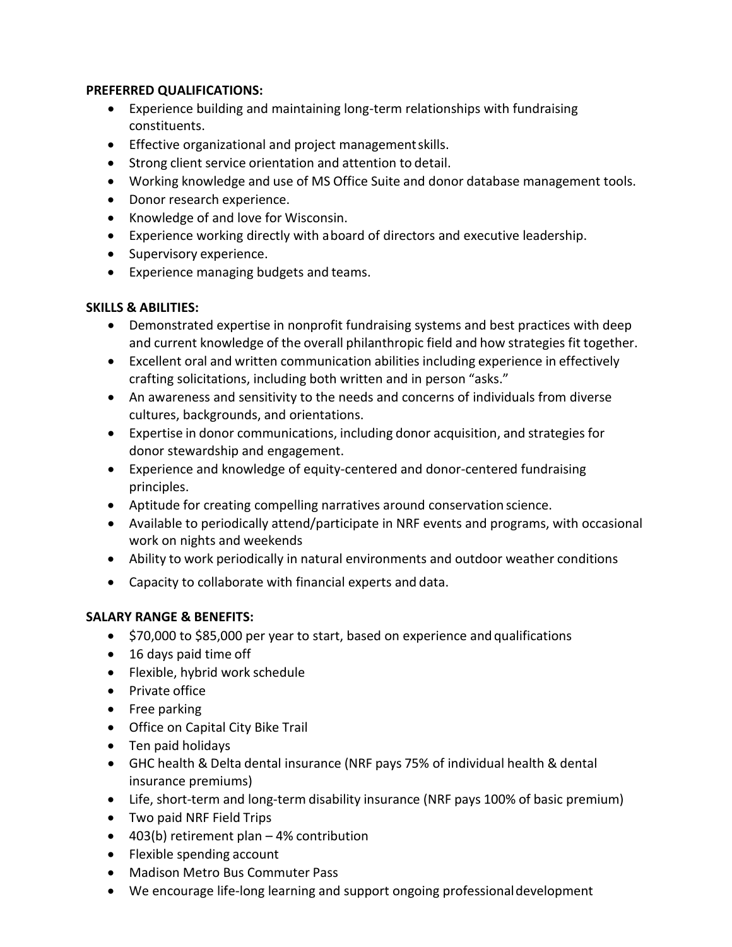#### **PREFERRED QUALIFICATIONS:**

- Experience building and maintaining long-term relationships with fundraising constituents.
- Effective organizational and project managementskills.
- Strong client service orientation and attention to detail.
- Working knowledge and use of MS Office Suite and donor database management tools.
- Donor research experience.
- Knowledge of and love for Wisconsin.
- Experience working directly with aboard of directors and executive leadership.
- Supervisory experience.
- Experience managing budgets and teams.

## **SKILLS & ABILITIES:**

- Demonstrated expertise in nonprofit fundraising systems and best practices with deep and current knowledge of the overall philanthropic field and how strategies fit together.
- Excellent oral and written communication abilities including experience in effectively crafting solicitations, including both written and in person "asks."
- An awareness and sensitivity to the needs and concerns of individuals from diverse cultures, backgrounds, and orientations.
- Expertise in donor communications, including donor acquisition, and strategies for donor stewardship and engagement.
- Experience and knowledge of equity-centered and donor-centered fundraising principles.
- Aptitude for creating compelling narratives around conservation science.
- Available to periodically attend/participate in NRF events and programs, with occasional work on nights and weekends
- Ability to work periodically in natural environments and outdoor weather conditions
- Capacity to collaborate with financial experts and data.

# **SALARY RANGE & BENEFITS:**

- \$70,000 to \$85,000 per year to start, based on experience and qualifications
- 16 days paid time off
- Flexible, hybrid work schedule
- Private office
- Free parking
- Office on Capital City Bike Trail
- Ten paid holidays
- GHC health & Delta dental insurance (NRF pays 75% of individual health & dental insurance premiums)
- Life, short-term and long-term disability insurance (NRF pays 100% of basic premium)
- Two paid NRF Field Trips
- 403(b) retirement plan 4% contribution
- Flexible spending account
- Madison Metro Bus Commuter Pass
- We encourage life-long learning and support ongoing professionaldevelopment